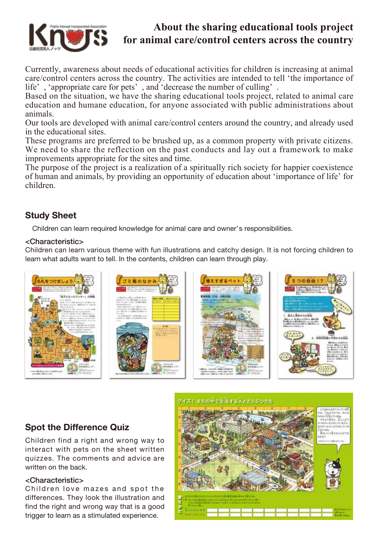

# **About the sharing educational tools project for animal care/control centers across the country**

Currently, awareness about needs of educational activities for children is increasing at animal care/control centers across the country. The activities are intended to tell 'the importance of life' , 'appropriate care for pets' , and 'decrease the number of culling' .

Based on the situation, we have the sharing educational tools project, related to animal care education and humane education, for anyone associated with public administrations about animals.

Our tools are developed with animal care/control centers around the country, and already used in the educational sites.

These programs are preferred to be brushed up, as a common property with private citizens. We need to share the reflection on the past conducts and lay out a framework to make improvements appropriate for the sites and time.

The purpose of the project is a realization of a spiritually rich society for happier coexistence of human and animals, by providing an opportunity of education about 'importance of life' for children.

# **Study Sheet**

Children can learn required knowledge for animal care and owner's responsibilities.

# <Characteristic>

Children can learn various theme with fun illustrations and catchy design. It is not forcing children to learn what adults want to tell. In the contents, children can learn through play.



## クイズ!まちの中で生活する人とどうぶつたち

# **Spot the Difference Quiz**

Children find a right and wrong way to interact with pets on the sheet written quizzes. The comments and advice are written on the back.

### <Characteristic>

Children love mazes and spot the differences. They look the illustration and find the right and wrong way that is a good trigger to learn as a stimulated experience.